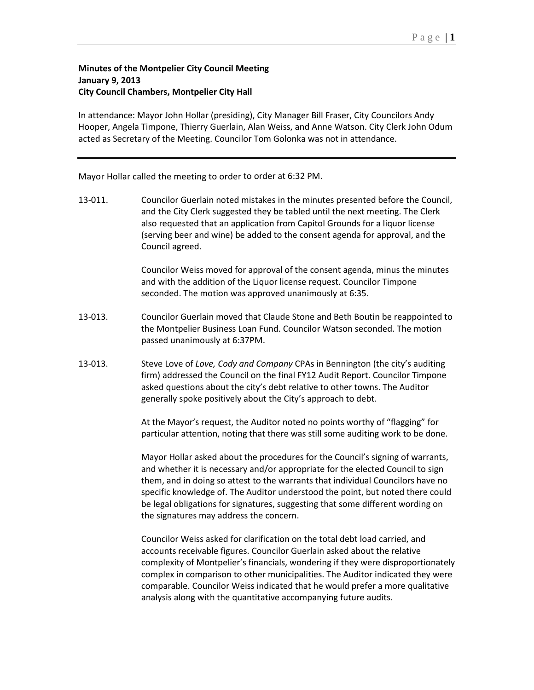## **Minutes of the Montpelier City Council Meeting January 9, 2013 City Council Chambers, Montpelier City Hall**

In attendance: Mayor John Hollar (presiding), City Manager Bill Fraser, City Councilors Andy Hooper, Angela Timpone, Thierry Guerlain, Alan Weiss, and Anne Watson. City Clerk John Odum acted as Secretary of the Meeting. Councilor Tom Golonka was not in attendance.

Mayor Hollar called the meeting to order to order at 6:32 PM.

13-011. Councilor Guerlain noted mistakes in the minutes presented before the Council, and the City Clerk suggested they be tabled until the next meeting. The Clerk also requested that an application from Capitol Grounds for a liquor license (serving beer and wine) be added to the consent agenda for approval, and the Council agreed.

> Councilor Weiss moved for approval of the consent agenda, minus the minutes and with the addition of the Liquor license request. Councilor Timpone seconded. The motion was approved unanimously at 6:35.

- 13-013. Councilor Guerlain moved that Claude Stone and Beth Boutin be reappointed to the Montpelier Business Loan Fund. Councilor Watson seconded. The motion passed unanimously at 6:37PM.
- 13-013. Steve Love of *Love, Cody and Company* CPAs in Bennington (the city's auditing firm) addressed the Council on the final FY12 Audit Report. Councilor Timpone asked questions about the city's debt relative to other towns. The Auditor generally spoke positively about the City's approach to debt.

At the Mayor's request, the Auditor noted no points worthy of "flagging" for particular attention, noting that there was still some auditing work to be done.

Mayor Hollar asked about the procedures for the Council's signing of warrants, and whether it is necessary and/or appropriate for the elected Council to sign them, and in doing so attest to the warrants that individual Councilors have no specific knowledge of. The Auditor understood the point, but noted there could be legal obligations for signatures, suggesting that some different wording on the signatures may address the concern.

Councilor Weiss asked for clarification on the total debt load carried, and accounts receivable figures. Councilor Guerlain asked about the relative complexity of Montpelier's financials, wondering if they were disproportionately complex in comparison to other municipalities. The Auditor indicated they were comparable. Councilor Weiss indicated that he would prefer a more qualitative analysis along with the quantitative accompanying future audits.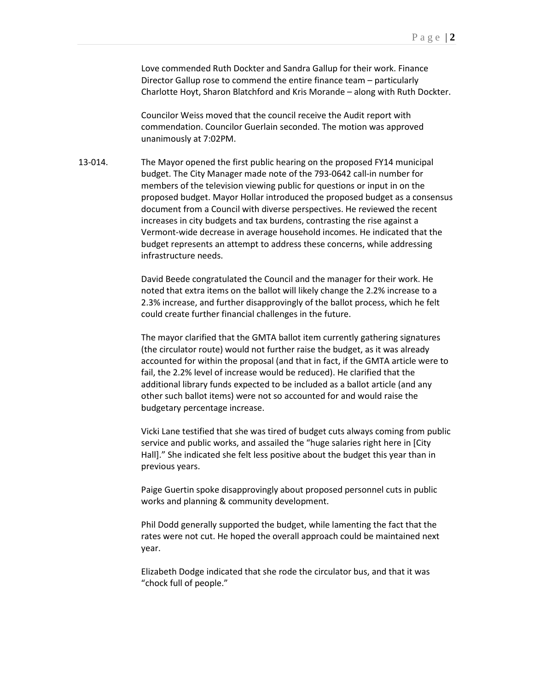Love commended Ruth Dockter and Sandra Gallup for their work. Finance Director Gallup rose to commend the entire finance team – particularly Charlotte Hoyt, Sharon Blatchford and Kris Morande – along with Ruth Dockter.

Councilor Weiss moved that the council receive the Audit report with commendation. Councilor Guerlain seconded. The motion was approved unanimously at 7:02PM.

13-014. The Mayor opened the first public hearing on the proposed FY14 municipal budget. The City Manager made note of the 793-0642 call-in number for members of the television viewing public for questions or input in on the proposed budget. Mayor Hollar introduced the proposed budget as a consensus document from a Council with diverse perspectives. He reviewed the recent increases in city budgets and tax burdens, contrasting the rise against a Vermont-wide decrease in average household incomes. He indicated that the budget represents an attempt to address these concerns, while addressing infrastructure needs.

> David Beede congratulated the Council and the manager for their work. He noted that extra items on the ballot will likely change the 2.2% increase to a 2.3% increase, and further disapprovingly of the ballot process, which he felt could create further financial challenges in the future.

The mayor clarified that the GMTA ballot item currently gathering signatures (the circulator route) would not further raise the budget, as it was already accounted for within the proposal (and that in fact, if the GMTA article were to fail, the 2.2% level of increase would be reduced). He clarified that the additional library funds expected to be included as a ballot article (and any other such ballot items) were not so accounted for and would raise the budgetary percentage increase.

Vicki Lane testified that she was tired of budget cuts always coming from public service and public works, and assailed the "huge salaries right here in [City Hall]." She indicated she felt less positive about the budget this year than in previous years.

Paige Guertin spoke disapprovingly about proposed personnel cuts in public works and planning & community development.

Phil Dodd generally supported the budget, while lamenting the fact that the rates were not cut. He hoped the overall approach could be maintained next year.

Elizabeth Dodge indicated that she rode the circulator bus, and that it was "chock full of people."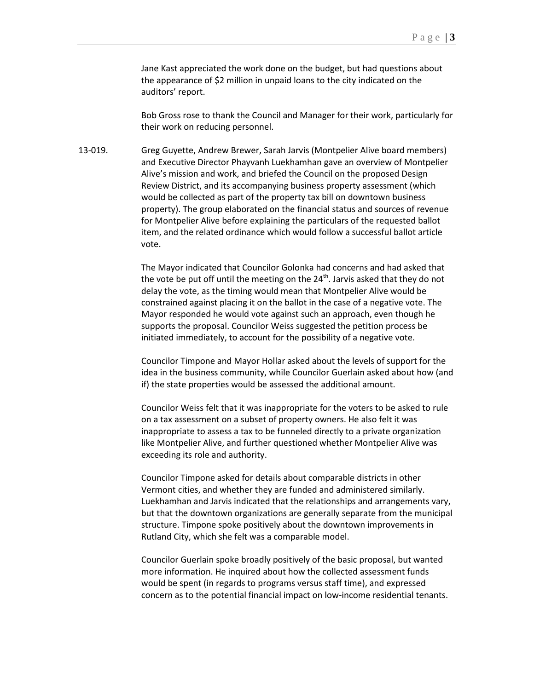Jane Kast appreciated the work done on the budget, but had questions about the appearance of \$2 million in unpaid loans to the city indicated on the auditors' report.

Bob Gross rose to thank the Council and Manager for their work, particularly for their work on reducing personnel.

13-019. Greg Guyette, Andrew Brewer, Sarah Jarvis (Montpelier Alive board members) and Executive Director Phayvanh Luekhamhan gave an overview of Montpelier Alive's mission and work, and briefed the Council on the proposed Design Review District, and its accompanying business property assessment (which would be collected as part of the property tax bill on downtown business property). The group elaborated on the financial status and sources of revenue for Montpelier Alive before explaining the particulars of the requested ballot item, and the related ordinance which would follow a successful ballot article vote.

> The Mayor indicated that Councilor Golonka had concerns and had asked that the vote be put off until the meeting on the  $24<sup>th</sup>$ . Jarvis asked that they do not delay the vote, as the timing would mean that Montpelier Alive would be constrained against placing it on the ballot in the case of a negative vote. The Mayor responded he would vote against such an approach, even though he supports the proposal. Councilor Weiss suggested the petition process be initiated immediately, to account for the possibility of a negative vote.

Councilor Timpone and Mayor Hollar asked about the levels of support for the idea in the business community, while Councilor Guerlain asked about how (and if) the state properties would be assessed the additional amount.

Councilor Weiss felt that it was inappropriate for the voters to be asked to rule on a tax assessment on a subset of property owners. He also felt it was inappropriate to assess a tax to be funneled directly to a private organization like Montpelier Alive, and further questioned whether Montpelier Alive was exceeding its role and authority.

Councilor Timpone asked for details about comparable districts in other Vermont cities, and whether they are funded and administered similarly. Luekhamhan and Jarvis indicated that the relationships and arrangements vary, but that the downtown organizations are generally separate from the municipal structure. Timpone spoke positively about the downtown improvements in Rutland City, which she felt was a comparable model.

Councilor Guerlain spoke broadly positively of the basic proposal, but wanted more information. He inquired about how the collected assessment funds would be spent (in regards to programs versus staff time), and expressed concern as to the potential financial impact on low-income residential tenants.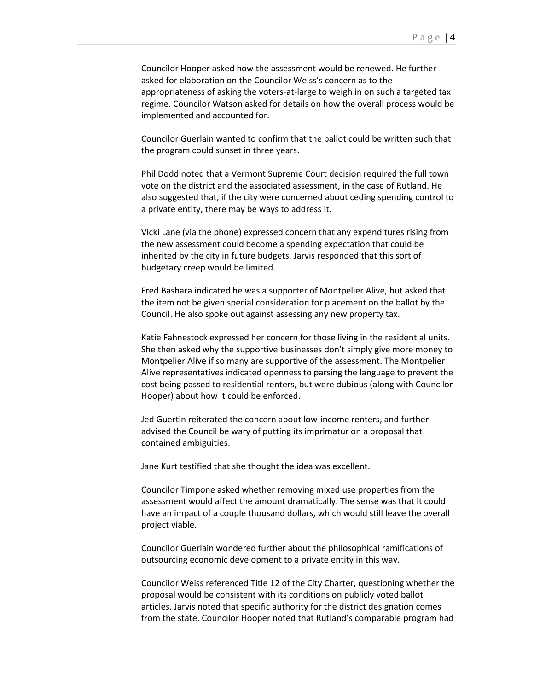Councilor Hooper asked how the assessment would be renewed. He further asked for elaboration on the Councilor Weiss's concern as to the appropriateness of asking the voters-at-large to weigh in on such a targeted tax regime. Councilor Watson asked for details on how the overall process would be implemented and accounted for.

Councilor Guerlain wanted to confirm that the ballot could be written such that the program could sunset in three years.

Phil Dodd noted that a Vermont Supreme Court decision required the full town vote on the district and the associated assessment, in the case of Rutland. He also suggested that, if the city were concerned about ceding spending control to a private entity, there may be ways to address it.

Vicki Lane (via the phone) expressed concern that any expenditures rising from the new assessment could become a spending expectation that could be inherited by the city in future budgets. Jarvis responded that this sort of budgetary creep would be limited.

Fred Bashara indicated he was a supporter of Montpelier Alive, but asked that the item not be given special consideration for placement on the ballot by the Council. He also spoke out against assessing any new property tax.

Katie Fahnestock expressed her concern for those living in the residential units. She then asked why the supportive businesses don't simply give more money to Montpelier Alive if so many are supportive of the assessment. The Montpelier Alive representatives indicated openness to parsing the language to prevent the cost being passed to residential renters, but were dubious (along with Councilor Hooper) about how it could be enforced.

Jed Guertin reiterated the concern about low-income renters, and further advised the Council be wary of putting its imprimatur on a proposal that contained ambiguities.

Jane Kurt testified that she thought the idea was excellent.

Councilor Timpone asked whether removing mixed use properties from the assessment would affect the amount dramatically. The sense was that it could have an impact of a couple thousand dollars, which would still leave the overall project viable.

Councilor Guerlain wondered further about the philosophical ramifications of outsourcing economic development to a private entity in this way.

Councilor Weiss referenced Title 12 of the City Charter, questioning whether the proposal would be consistent with its conditions on publicly voted ballot articles. Jarvis noted that specific authority for the district designation comes from the state. Councilor Hooper noted that Rutland's comparable program had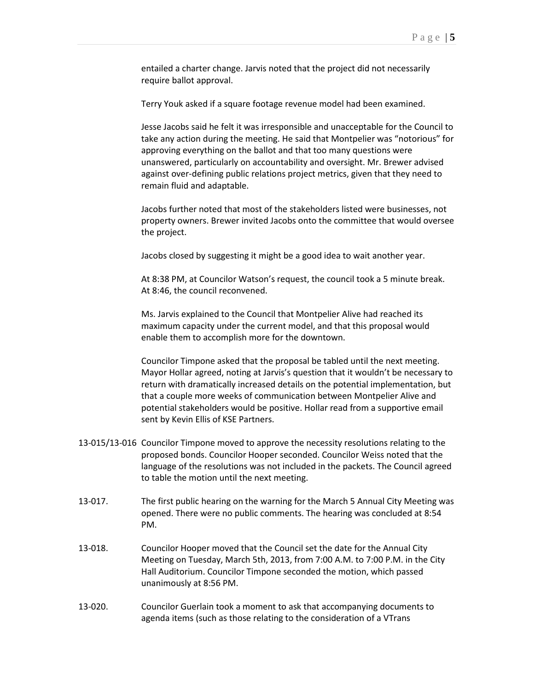entailed a charter change. Jarvis noted that the project did not necessarily require ballot approval.

Terry Youk asked if a square footage revenue model had been examined.

Jesse Jacobs said he felt it was irresponsible and unacceptable for the Council to take any action during the meeting. He said that Montpelier was "notorious" for approving everything on the ballot and that too many questions were unanswered, particularly on accountability and oversight. Mr. Brewer advised against over-defining public relations project metrics, given that they need to remain fluid and adaptable.

Jacobs further noted that most of the stakeholders listed were businesses, not property owners. Brewer invited Jacobs onto the committee that would oversee the project.

Jacobs closed by suggesting it might be a good idea to wait another year.

At 8:38 PM, at Councilor Watson's request, the council took a 5 minute break. At 8:46, the council reconvened.

Ms. Jarvis explained to the Council that Montpelier Alive had reached its maximum capacity under the current model, and that this proposal would enable them to accomplish more for the downtown.

Councilor Timpone asked that the proposal be tabled until the next meeting. Mayor Hollar agreed, noting at Jarvis's question that it wouldn't be necessary to return with dramatically increased details on the potential implementation, but that a couple more weeks of communication between Montpelier Alive and potential stakeholders would be positive. Hollar read from a supportive email sent by Kevin Ellis of KSE Partners.

- 13-015/13-016 Councilor Timpone moved to approve the necessity resolutions relating to the proposed bonds. Councilor Hooper seconded. Councilor Weiss noted that the language of the resolutions was not included in the packets. The Council agreed to table the motion until the next meeting.
- 13-017. The first public hearing on the warning for the March 5 Annual City Meeting was opened. There were no public comments. The hearing was concluded at 8:54 PM.
- 13-018. Councilor Hooper moved that the Council set the date for the Annual City Meeting on Tuesday, March 5th, 2013, from 7:00 A.M. to 7:00 P.M. in the City Hall Auditorium. Councilor Timpone seconded the motion, which passed unanimously at 8:56 PM.
- 13-020. Councilor Guerlain took a moment to ask that accompanying documents to agenda items (such as those relating to the consideration of a VTrans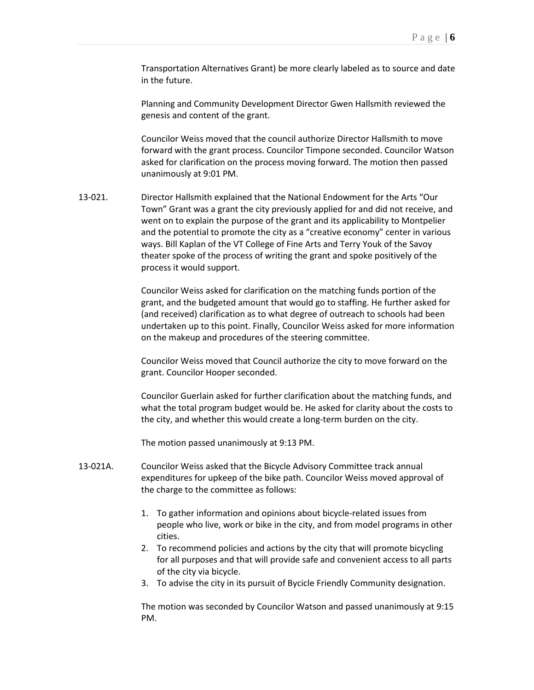Transportation Alternatives Grant) be more clearly labeled as to source and date in the future.

Planning and Community Development Director Gwen Hallsmith reviewed the genesis and content of the grant.

Councilor Weiss moved that the council authorize Director Hallsmith to move forward with the grant process. Councilor Timpone seconded. Councilor Watson asked for clarification on the process moving forward. The motion then passed unanimously at 9:01 PM.

13-021. Director Hallsmith explained that the National Endowment for the Arts "Our Town" Grant was a grant the city previously applied for and did not receive, and went on to explain the purpose of the grant and its applicability to Montpelier and the potential to promote the city as a "creative economy" center in various ways. Bill Kaplan of the VT College of Fine Arts and Terry Youk of the Savoy theater spoke of the process of writing the grant and spoke positively of the process it would support.

> Councilor Weiss asked for clarification on the matching funds portion of the grant, and the budgeted amount that would go to staffing. He further asked for (and received) clarification as to what degree of outreach to schools had been undertaken up to this point. Finally, Councilor Weiss asked for more information on the makeup and procedures of the steering committee.

Councilor Weiss moved that Council authorize the city to move forward on the grant. Councilor Hooper seconded.

Councilor Guerlain asked for further clarification about the matching funds, and what the total program budget would be. He asked for clarity about the costs to the city, and whether this would create a long-term burden on the city.

The motion passed unanimously at 9:13 PM.

- 13-021A. Councilor Weiss asked that the Bicycle Advisory Committee track annual expenditures for upkeep of the bike path. Councilor Weiss moved approval of the charge to the committee as follows:
	- 1. To gather information and opinions about bicycle-related issues from people who live, work or bike in the city, and from model programs in other cities.
	- 2. To recommend policies and actions by the city that will promote bicycling for all purposes and that will provide safe and convenient access to all parts of the city via bicycle.
	- 3. To advise the city in its pursuit of Bycicle Friendly Community designation.

The motion was seconded by Councilor Watson and passed unanimously at 9:15 PM.